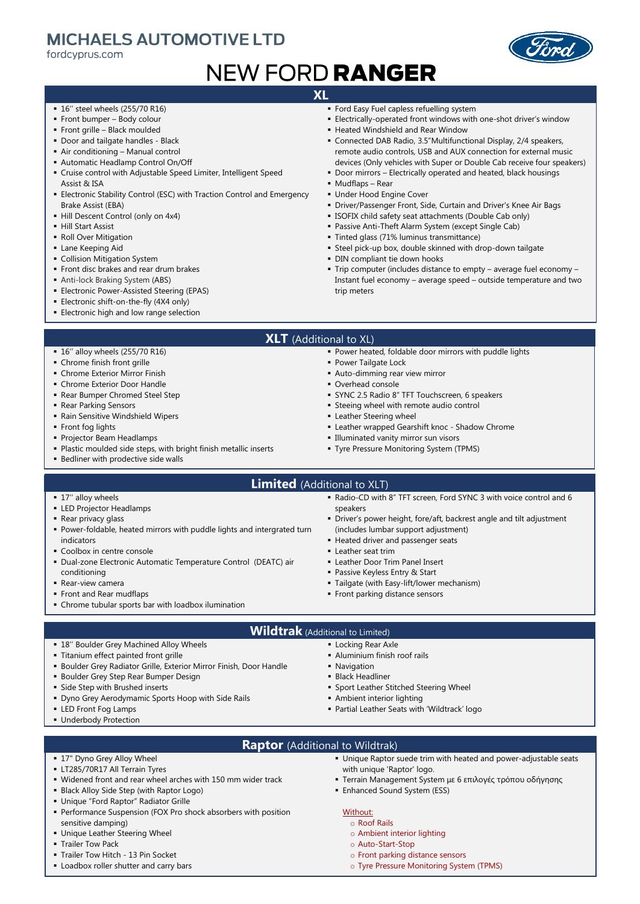## **MICHAELS AUTOMOTIVE LTD**

fordcvprus.com

# **NEW FORD RANGER**

### **XL**

- 16" steel wheels (255/70 R16)
- Front bumper Body colour
- **Front grille Black moulded**
- Door and tailgate handles Black
- Air conditioning Manual control
- Automatic Headlamp Control On/Off
- Cruise control with Adjustable Speed Limiter, Intelligent Speed Assist & ISA
- **Electronic Stability Control (ESC) with Traction Control and Emergency** Brake Assist (EBA)
- **.** Hill Descent Control (only on 4x4)
- Hill Start Assist
- Roll Over Mitigation
- **Exame Keeping Aid**
- **Collision Mitigation System**
- Front disc brakes and rear drum brakes
- **Anti-lock Braking System (ABS)**

▪ 16'' alloy wheels (255/70 R16) ■ Chrome finish front grille **• Chrome Exterior Mirror Finish • Chrome Exterior Door Handle** ■ Rear Bumper Chromed Steel Step

▪ Rain Sensitive Windshield Wipers

**·** Bedliner with prodective side walls

▪ Projector Beam Headlamps

■ Rear Parking Sensors

**·** Front fog lights

- **Electronic Power-Assisted Steering (EPAS)**
- **Electronic shift-on-the-fly (4X4 only)**
- **Electronic high and low range selection**
- **Ford Easy Fuel capless refuelling system**
- **Electrically-operated front windows with one-shot driver's window**
- Heated Windshield and Rear Window
- Connected DAB Radio, 3.5"Multifunctional Display, 2/4 speakers, remote audio controls, USB and AUX connection for external music devices (Only vehicles with Super or Double Cab receive four speakers)
- **Door mirrors Electrically operated and heated, black housings**
- Mudflaps Rear
- **Under Hood Engine Cover**
- Driver/Passenger Front, Side, Curtain and Driver's Knee Air Bags
- **EXECTER SHETT** ISOFIX child safety seat attachments (Double Cab only)
- Passive Anti-Theft Alarm System (except Single Cab)
- Tinted glass (71% luminus transmittance)
- **Example 3 Steel pick-up box, double skinned with drop-down tailgate**
- **·** DIN compliant tie down hooks
- Trip computer (includes distance to empty average fuel economy Instant fuel economy – average speed – outside temperature and two trip meters
- **XLT** (Additional to XL)
	- Power heated, foldable door mirrors with puddle lights
	- **Power Tailgate Lock**
	- **E** Auto-dimming rear view mirror
	- Overhead console
	- **E** SYNC 2.5 Radio 8" TFT Touchscreen, 6 speakers
	- **Exercise Steeing wheel with remote audio control**
	- **Exercise Leather Steering wheel**
	- **Exampled Gearshift knoc Shadow Chrome**
	- **.** Illuminated vanity mirror sun visors
	- **Tyre Pressure Monitoring System (TPMS)**
- 

- 17" alloy wheels
- **ELED Projector Headlamps**
- **Rear privacy glass**
- Power-foldable, heated mirrors with puddle lights and intergrated turn indicators
- **Coolbox in centre console**
- Dual-zone Electronic Automatic Temperature Control (DEATC) air conditioning

**· Boulder Grey Radiator Grille, Exterior Mirror Finish, Door Handle** 

▪ Plastic moulded side steps, with bright finish metallic inserts

- Rear-view camera
- Front and Rear mudflaps
- Chrome tubular sports bar with loadbox ilumination

■ 18" Boulder Grey Machined Alloy Wheels ▪ Titanium effect painted front grille

**• Boulder Grey Step Rear Bumper Design ·** Side Step with Brushed inserts

- **Limited** (Additional to XLT) ▪ Radio-CD with 8" TFT screen, Ford SYNC 3 with voice control and 6 speakers
	- Driver's power height, fore/aft, backrest angle and tilt adjustment (includes lumbar support adjustment)
	- **E** Heated driver and passenger seats
	- **E** Leather seat trim
	- **Example 2** Leather Door Trim Panel Insert
	- Passive Keyless Entry & Start
	- **Tailgate (with Easy-lift/lower mechanism)**
	- **· Front parking distance sensors**
- **Wildtrak** (Additional to Limited)
	- **ELocking Rear Axle** 
		- Aluminium finish roof rails
		- **Navigation**
		- **Black Headliner**

Without:

- **· Sport Leather Stitched Steering Wheel**
- **Ambient interior lighting**
- Partial Leather Seats with 'Wildtrack' logo

**EXED Front Fog Lamps ■ Underbody Protection** 

- **Raptor** (Additional to Wildtrak)
- 17" Dyno Grey Alloy Wheel ▪ Unique Raptor suede trim with heated and power-adjustable seats with unique 'Raptor' logo.
- **EXECUTE: LT285/70R17 All Terrain Tyres** ▪ Widened front and rear wheel arches with 150 mm wider track

**• Dyno Grey Aerodymamic Sports Hoop with Side Rails** 

- 
- **Black Alloy Side Step (with Raptor Logo)**
- Unique "Ford Raptor" Radiator Grille
- **Performance Suspension (FOX Pro shock absorbers with position** sensitive damping)
- **.** Unique Leather Steering Wheel
- **E** Trailer Tow Pack
- Trailer Tow Hitch 13 Pin Socket
- **.** Loadbox roller shutter and carry bars



▪ Enhanced Sound System (ESS)

- o Auto-Start-Stop
- o Front parking distance sensors
- o Tyre Pressure Monitoring System (TPMS)

▪ Terrain Management System με 6 επιλογές τρόπου οδήγησης